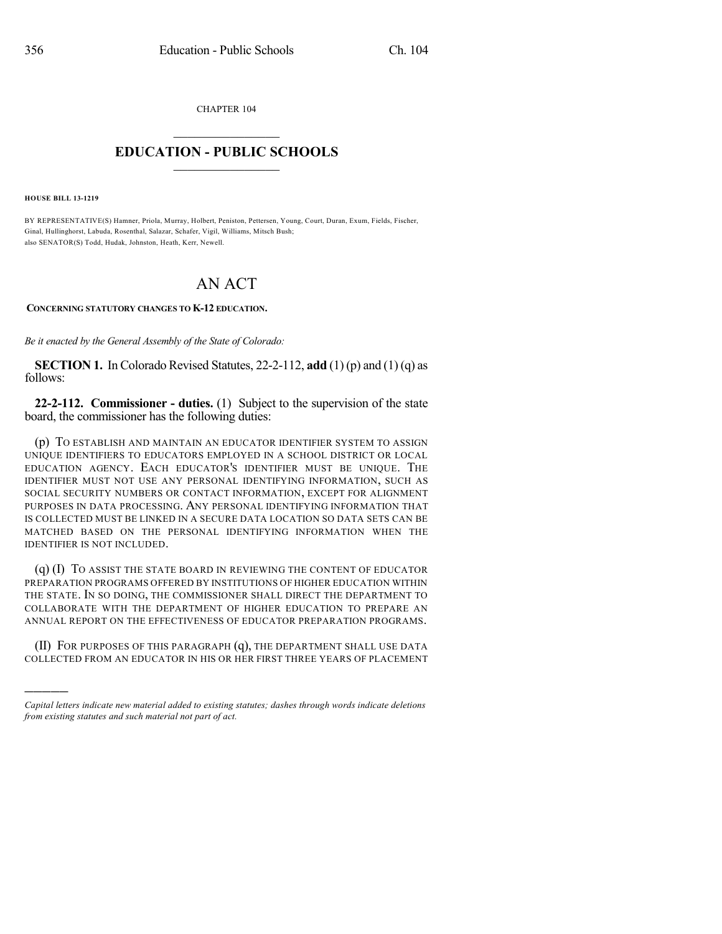CHAPTER 104

## $\mathcal{L}_\text{max}$  . The set of the set of the set of the set of the set of the set of the set of the set of the set of the set of the set of the set of the set of the set of the set of the set of the set of the set of the set **EDUCATION - PUBLIC SCHOOLS**  $\_$   $\_$   $\_$   $\_$   $\_$   $\_$   $\_$   $\_$   $\_$

**HOUSE BILL 13-1219**

)))))

BY REPRESENTATIVE(S) Hamner, Priola, Murray, Holbert, Peniston, Pettersen, Young, Court, Duran, Exum, Fields, Fischer, Ginal, Hullinghorst, Labuda, Rosenthal, Salazar, Schafer, Vigil, Williams, Mitsch Bush; also SENATOR(S) Todd, Hudak, Johnston, Heath, Kerr, Newell.

## AN ACT

**CONCERNING STATUTORY CHANGES TO K-12 EDUCATION.**

*Be it enacted by the General Assembly of the State of Colorado:*

**SECTION 1.** In Colorado Revised Statutes, 22-2-112, **add** (1) (p) and (1) (q) as follows:

**22-2-112. Commissioner - duties.** (1) Subject to the supervision of the state board, the commissioner has the following duties:

(p) TO ESTABLISH AND MAINTAIN AN EDUCATOR IDENTIFIER SYSTEM TO ASSIGN UNIQUE IDENTIFIERS TO EDUCATORS EMPLOYED IN A SCHOOL DISTRICT OR LOCAL EDUCATION AGENCY. EACH EDUCATOR'S IDENTIFIER MUST BE UNIQUE. THE IDENTIFIER MUST NOT USE ANY PERSONAL IDENTIFYING INFORMATION, SUCH AS SOCIAL SECURITY NUMBERS OR CONTACT INFORMATION, EXCEPT FOR ALIGNMENT PURPOSES IN DATA PROCESSING. ANY PERSONAL IDENTIFYING INFORMATION THAT IS COLLECTED MUST BE LINKED IN A SECURE DATA LOCATION SO DATA SETS CAN BE MATCHED BASED ON THE PERSONAL IDENTIFYING INFORMATION WHEN THE IDENTIFIER IS NOT INCLUDED.

(q) (I) TO ASSIST THE STATE BOARD IN REVIEWING THE CONTENT OF EDUCATOR PREPARATION PROGRAMS OFFERED BY INSTITUTIONS OF HIGHER EDUCATION WITHIN THE STATE. IN SO DOING, THE COMMISSIONER SHALL DIRECT THE DEPARTMENT TO COLLABORATE WITH THE DEPARTMENT OF HIGHER EDUCATION TO PREPARE AN ANNUAL REPORT ON THE EFFECTIVENESS OF EDUCATOR PREPARATION PROGRAMS.

(II) FOR PURPOSES OF THIS PARAGRAPH (q), THE DEPARTMENT SHALL USE DATA COLLECTED FROM AN EDUCATOR IN HIS OR HER FIRST THREE YEARS OF PLACEMENT

*Capital letters indicate new material added to existing statutes; dashes through words indicate deletions from existing statutes and such material not part of act.*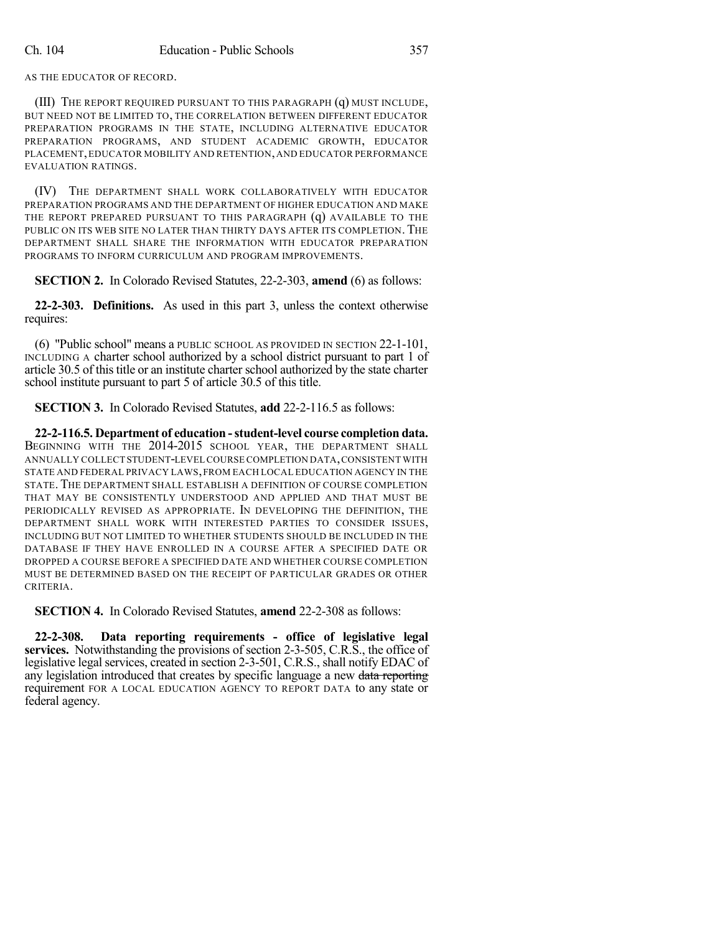AS THE EDUCATOR OF RECORD.

(III) THE REPORT REQUIRED PURSUANT TO THIS PARAGRAPH (q) MUST INCLUDE, BUT NEED NOT BE LIMITED TO, THE CORRELATION BETWEEN DIFFERENT EDUCATOR PREPARATION PROGRAMS IN THE STATE, INCLUDING ALTERNATIVE EDUCATOR PREPARATION PROGRAMS, AND STUDENT ACADEMIC GROWTH, EDUCATOR PLACEMENT,EDUCATOR MOBILITY AND RETENTION,AND EDUCATOR PERFORMANCE EVALUATION RATINGS.

(IV) THE DEPARTMENT SHALL WORK COLLABORATIVELY WITH EDUCATOR PREPARATION PROGRAMS AND THE DEPARTMENT OF HIGHER EDUCATION AND MAKE THE REPORT PREPARED PURSUANT TO THIS PARAGRAPH (q) AVAILABLE TO THE PUBLIC ON ITS WEB SITE NO LATER THAN THIRTY DAYS AFTER ITS COMPLETION. THE DEPARTMENT SHALL SHARE THE INFORMATION WITH EDUCATOR PREPARATION PROGRAMS TO INFORM CURRICULUM AND PROGRAM IMPROVEMENTS.

**SECTION 2.** In Colorado Revised Statutes, 22-2-303, **amend** (6) as follows:

**22-2-303. Definitions.** As used in this part 3, unless the context otherwise requires:

(6) "Public school" means a PUBLIC SCHOOL AS PROVIDED IN SECTION 22-1-101, INCLUDING A charter school authorized by a school district pursuant to part 1 of article 30.5 of this title or an institute charter school authorized by the state charter school institute pursuant to part 5 of article 30.5 of this title.

**SECTION 3.** In Colorado Revised Statutes, **add** 22-2-116.5 as follows:

**22-2-116.5. Department of education -student-level course completion data.** BEGINNING WITH THE 2014-2015 SCHOOL YEAR, THE DEPARTMENT SHALL ANNUALLY COLLECT STUDENT-LEVEL COURSE COMPLETION DATA,CONSISTENT WITH STATE AND FEDERAL PRIVACY LAWS,FROM EACH LOCAL EDUCATION AGENCY IN THE STATE. THE DEPARTMENT SHALL ESTABLISH A DEFINITION OF COURSE COMPLETION THAT MAY BE CONSISTENTLY UNDERSTOOD AND APPLIED AND THAT MUST BE PERIODICALLY REVISED AS APPROPRIATE. IN DEVELOPING THE DEFINITION, THE DEPARTMENT SHALL WORK WITH INTERESTED PARTIES TO CONSIDER ISSUES, INCLUDING BUT NOT LIMITED TO WHETHER STUDENTS SHOULD BE INCLUDED IN THE DATABASE IF THEY HAVE ENROLLED IN A COURSE AFTER A SPECIFIED DATE OR DROPPED A COURSE BEFORE A SPECIFIED DATE AND WHETHER COURSE COMPLETION MUST BE DETERMINED BASED ON THE RECEIPT OF PARTICULAR GRADES OR OTHER CRITERIA.

**SECTION 4.** In Colorado Revised Statutes, **amend** 22-2-308 as follows:

**22-2-308. Data reporting requirements - office of legislative legal services.** Notwithstanding the provisions of section 2-3-505, C.R.S., the office of legislative legal services, created in section 2-3-501, C.R.S., shall notify EDAC of any legislation introduced that creates by specific language a new data reporting requirement FOR A LOCAL EDUCATION AGENCY TO REPORT DATA to any state or federal agency.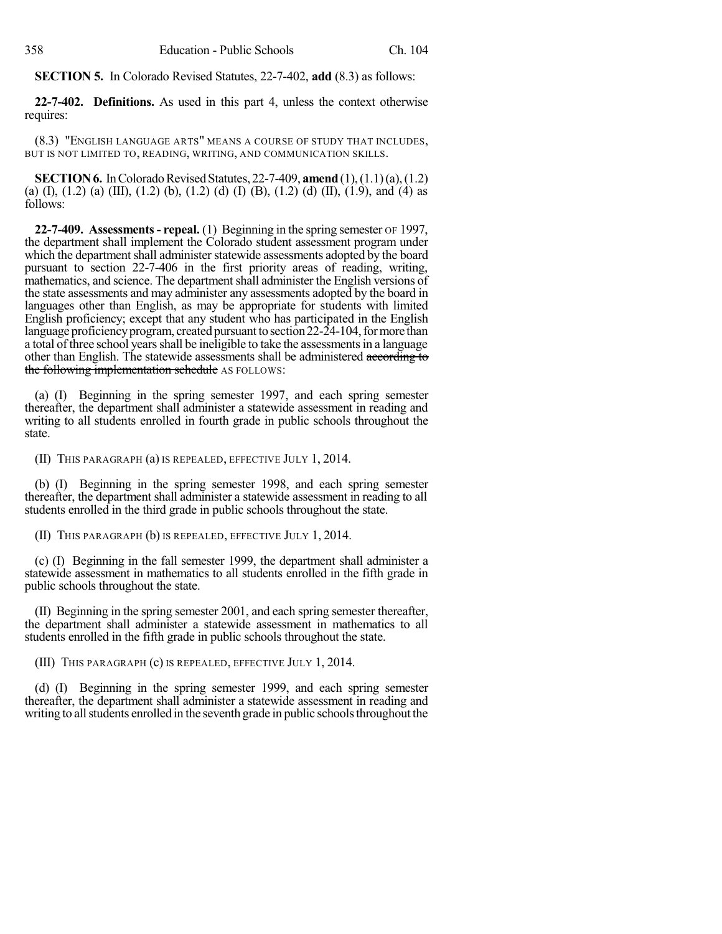**SECTION 5.** In Colorado Revised Statutes, 22-7-402, **add** (8.3) as follows:

**22-7-402. Definitions.** As used in this part 4, unless the context otherwise requires:

(8.3) "ENGLISH LANGUAGE ARTS" MEANS A COURSE OF STUDY THAT INCLUDES, BUT IS NOT LIMITED TO, READING, WRITING, AND COMMUNICATION SKILLS.

**SECTION 6.** In Colorado Revised Statutes, 22-7-409, **amend** (1), (1.1)(a), (1.2) (a) (I), (1.2) (a) (III), (1.2) (b), (1.2) (d) (I) (B), (1.2) (d) (II), (1.9), and (4) as follows:

**22-7-409. Assessments- repeal.** (1) Beginning in the spring semester OF 1997, the department shall implement the Colorado student assessment program under which the department shall administer statewide assessments adopted by the board pursuant to section 22-7-406 in the first priority areas of reading, writing, mathematics, and science. The department shall administer the English versions of the state assessments and may administer any assessments adopted by the board in languages other than English, as may be appropriate for students with limited English proficiency; except that any student who has participated in the English language proficiency program, created pursuant to section 22-24-104, for more than a total of three school years shall be ineligible to take the assessments in a language other than English. The statewide assessments shall be administered according to the following implementation schedule AS FOLLOWS:

(a) (I) Beginning in the spring semester 1997, and each spring semester thereafter, the department shall administer a statewide assessment in reading and writing to all students enrolled in fourth grade in public schools throughout the state.

(II) THIS PARAGRAPH (a) IS REPEALED, EFFECTIVE JULY 1, 2014.

(b) (I) Beginning in the spring semester 1998, and each spring semester thereafter, the department shall administer a statewide assessment in reading to all students enrolled in the third grade in public schools throughout the state.

(II) THIS PARAGRAPH (b) IS REPEALED, EFFECTIVE JULY 1, 2014.

(c) (I) Beginning in the fall semester 1999, the department shall administer a statewide assessment in mathematics to all students enrolled in the fifth grade in public schools throughout the state.

(II) Beginning in the spring semester 2001, and each spring semester thereafter, the department shall administer a statewide assessment in mathematics to all students enrolled in the fifth grade in public schools throughout the state.

(III) THIS PARAGRAPH (c) IS REPEALED, EFFECTIVE JULY 1, 2014.

(d) (I) Beginning in the spring semester 1999, and each spring semester thereafter, the department shall administer a statewide assessment in reading and writing to all students enrolled in the seventh grade in public schools throughout the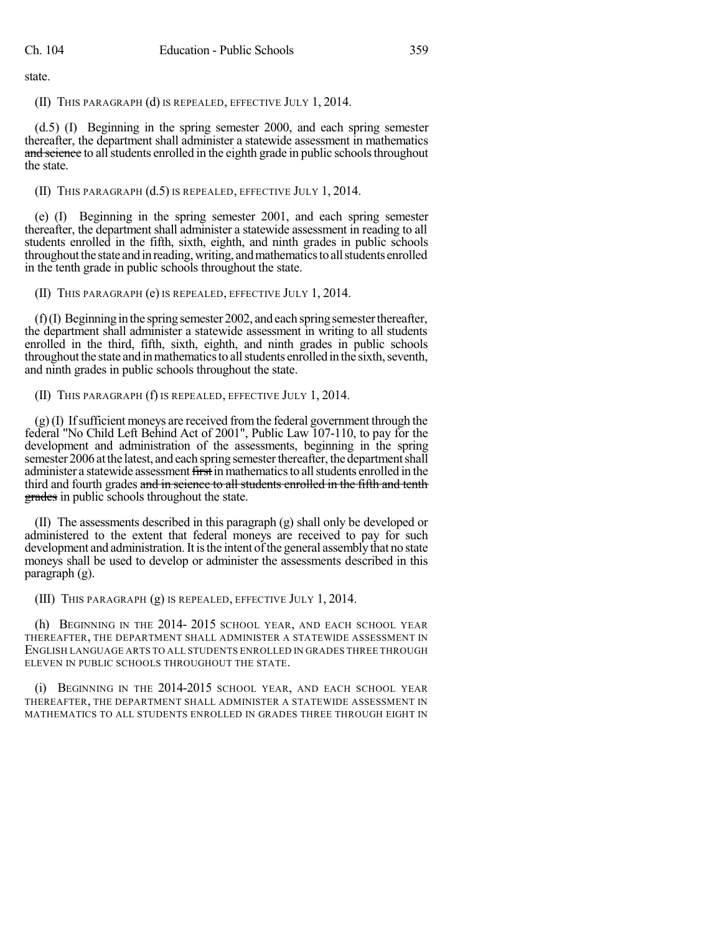state.

(II) THIS PARAGRAPH (d) IS REPEALED, EFFECTIVE JULY 1, 2014.

(d.5) (I) Beginning in the spring semester 2000, and each spring semester thereafter, the department shall administer a statewide assessment in mathematics and science to all students enrolled in the eighth grade in public schools throughout the state.

## (II) THIS PARAGRAPH (d.5) IS REPEALED, EFFECTIVE JULY 1, 2014.

(e) (I) Beginning in the spring semester 2001, and each spring semester thereafter, the department shall administer a statewide assessment in reading to all students enrolled in the fifth, sixth, eighth, and ninth grades in public schools throughout the state and in reading, writing, and mathematics to all students enrolled in the tenth grade in public schools throughout the state.

(II) THIS PARAGRAPH (e) IS REPEALED, EFFECTIVE JULY 1, 2014.

 $(f)(I)$  Beginning in the spring semester 2002, and each spring semester thereafter, the department shall administer a statewide assessment in writing to all students enrolled in the third, fifth, sixth, eighth, and ninth grades in public schools throughout the state and in mathematics to all students enrolled in the sixth, seventh, and ninth grades in public schools throughout the state.

(II) THIS PARAGRAPH (f) IS REPEALED, EFFECTIVE JULY 1, 2014.

(g)(I) Ifsufficient moneys are received fromthe federal government through the federal "No Child Left Behind Act of 2001", Public Law 107-110, to pay for the development and administration of the assessments, beginning in the spring semester 2006 at the latest, and each spring semester thereafter, the department shall administer a statewide assessment first in mathematics to all students enrolled in the third and fourth grades and in science to all students enrolled in the fifth and tenth grades in public schools throughout the state.

(II) The assessments described in this paragraph (g) shall only be developed or administered to the extent that federal moneys are received to pay for such development and administration. It is the intent of the general assembly that no state moneys shall be used to develop or administer the assessments described in this paragraph (g).

(III) THIS PARAGRAPH (g) IS REPEALED, EFFECTIVE JULY 1, 2014.

(h) BEGINNING IN THE 2014- 2015 SCHOOL YEAR, AND EACH SCHOOL YEAR THEREAFTER, THE DEPARTMENT SHALL ADMINISTER A STATEWIDE ASSESSMENT IN ENGLISH LANGUAGE ARTS TO ALL STUDENTS ENROLLED IN GRADES THREE THROUGH ELEVEN IN PUBLIC SCHOOLS THROUGHOUT THE STATE.

(i) BEGINNING IN THE 2014-2015 SCHOOL YEAR, AND EACH SCHOOL YEAR THEREAFTER, THE DEPARTMENT SHALL ADMINISTER A STATEWIDE ASSESSMENT IN MATHEMATICS TO ALL STUDENTS ENROLLED IN GRADES THREE THROUGH EIGHT IN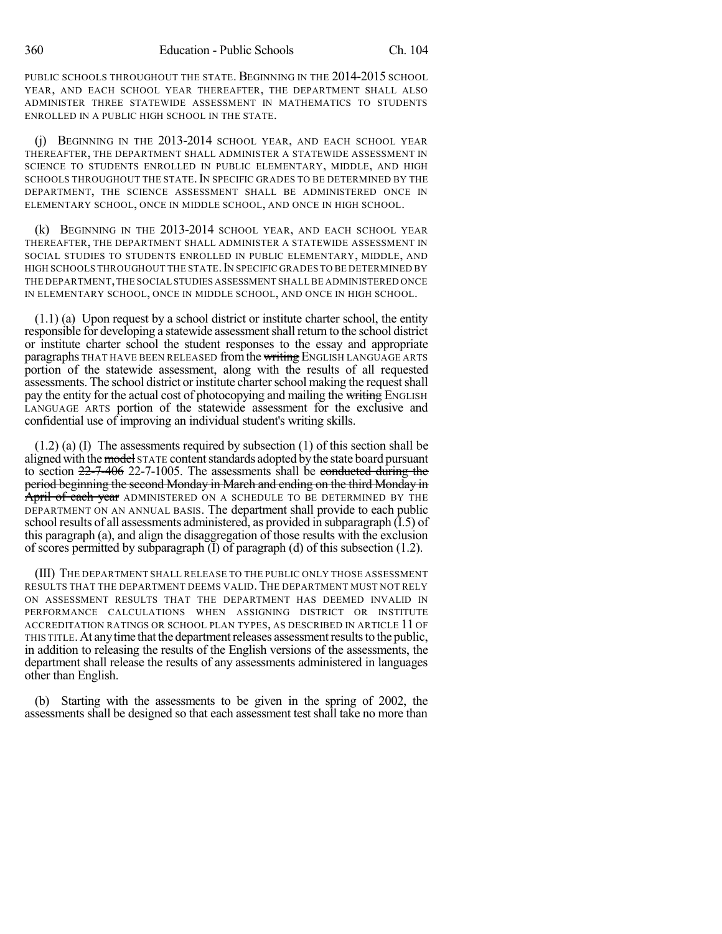PUBLIC SCHOOLS THROUGHOUT THE STATE. BEGINNING IN THE 2014-2015 SCHOOL YEAR, AND EACH SCHOOL YEAR THEREAFTER, THE DEPARTMENT SHALL ALSO ADMINISTER THREE STATEWIDE ASSESSMENT IN MATHEMATICS TO STUDENTS ENROLLED IN A PUBLIC HIGH SCHOOL IN THE STATE.

(j) BEGINNING IN THE 2013-2014 SCHOOL YEAR, AND EACH SCHOOL YEAR THEREAFTER, THE DEPARTMENT SHALL ADMINISTER A STATEWIDE ASSESSMENT IN SCIENCE TO STUDENTS ENROLLED IN PUBLIC ELEMENTARY, MIDDLE, AND HIGH SCHOOLS THROUGHOUT THE STATE. IN SPECIFIC GRADES TO BE DETERMINED BY THE DEPARTMENT, THE SCIENCE ASSESSMENT SHALL BE ADMINISTERED ONCE IN ELEMENTARY SCHOOL, ONCE IN MIDDLE SCHOOL, AND ONCE IN HIGH SCHOOL.

(k) BEGINNING IN THE 2013-2014 SCHOOL YEAR, AND EACH SCHOOL YEAR THEREAFTER, THE DEPARTMENT SHALL ADMINISTER A STATEWIDE ASSESSMENT IN SOCIAL STUDIES TO STUDENTS ENROLLED IN PUBLIC ELEMENTARY, MIDDLE, AND HIGH SCHOOLS THROUGHOUT THE STATE. IN SPECIFIC GRADES TO BE DETERMINED BY THE DEPARTMENT,THE SOCIAL STUDIES ASSESSMENT SHALL BE ADMINISTERED ONCE IN ELEMENTARY SCHOOL, ONCE IN MIDDLE SCHOOL, AND ONCE IN HIGH SCHOOL.

(1.1) (a) Upon request by a school district or institute charter school, the entity responsible for developing a statewide assessment shall return to the school district or institute charter school the student responses to the essay and appropriate paragraphs THAT HAVE BEEN RELEASED from the writing ENGLISH LANGUAGE ARTS portion of the statewide assessment, along with the results of all requested assessments. The school district or institute charter school making the request shall pay the entity for the actual cost of photocopying and mailing the writing ENGLISH LANGUAGE ARTS portion of the statewide assessment for the exclusive and confidential use of improving an individual student's writing skills.

(1.2) (a) (I) The assessments required by subsection (1) of this section shall be aligned with the model STATE content standards adopted by the state board pursuant to section 22-7-406 22-7-1005. The assessments shall be conducted during the period beginning the second Monday in March and ending on the third Monday in April of each year ADMINISTERED ON A SCHEDULE TO BE DETERMINED BY THE DEPARTMENT ON AN ANNUAL BASIS. The department shall provide to each public school results of all assessments administered, as provided in subparagraph (I.5) of this paragraph (a), and align the disaggregation of those results with the exclusion of scores permitted by subparagraph (I) of paragraph (d) of this subsection (1.2).

(III) THE DEPARTMENT SHALL RELEASE TO THE PUBLIC ONLY THOSE ASSESSMENT RESULTS THAT THE DEPARTMENT DEEMS VALID. THE DEPARTMENT MUST NOT RELY ON ASSESSMENT RESULTS THAT THE DEPARTMENT HAS DEEMED INVALID IN PERFORMANCE CALCULATIONS WHEN ASSIGNING DISTRICT OR INSTITUTE ACCREDITATION RATINGS OR SCHOOL PLAN TYPES, AS DESCRIBED IN ARTICLE 11 OF THIS TITLE.At anytime thatthe departmentreleases assessmentresultsto the public, in addition to releasing the results of the English versions of the assessments, the department shall release the results of any assessments administered in languages other than English.

(b) Starting with the assessments to be given in the spring of 2002, the assessments shall be designed so that each assessment test shall take no more than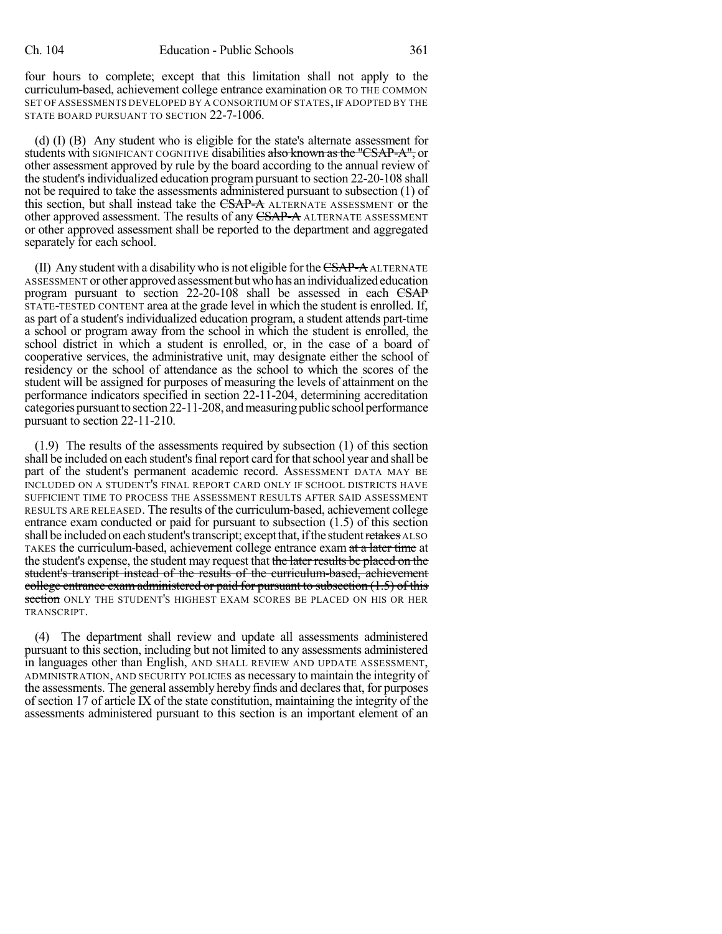four hours to complete; except that this limitation shall not apply to the curriculum-based, achievement college entrance examination OR TO THE COMMON SET OF ASSESSMENTS DEVELOPED BY A CONSORTIUM OF STATES, IF ADOPTED BY THE STATE BOARD PURSUANT TO SECTION 22-7-1006.

(d) (I) (B) Any student who is eligible for the state's alternate assessment for students with SIGNIFICANT COGNITIVE disabilities also known as the "CSAP-A", or other assessment approved by rule by the board according to the annual review of the student's individualized education program pursuant to section 22-20-108 shall not be required to take the assessments administered pursuant to subsection (1) of this section, but shall instead take the CSAP-A ALTERNATE ASSESSMENT or the other approved assessment. The results of any CSAP-A ALTERNATE ASSESSMENT or other approved assessment shall be reported to the department and aggregated separately for each school.

 $(II)$  Any student with a disability who is not eligible for the  $\overline{CSAP-A}$  ALTERNATE ASSESSMENT or other approved assessment butwhohas an individualized education program pursuant to section 22-20-108 shall be assessed in each CSAP STATE-TESTED CONTENT area at the grade level in which the student is enrolled. If, as part of a student's individualized education program, a student attends part-time a school or program away from the school in which the student is enrolled, the school district in which a student is enrolled, or, in the case of a board of cooperative services, the administrative unit, may designate either the school of residency or the school of attendance as the school to which the scores of the student will be assigned for purposes of measuring the levels of attainment on the performance indicators specified in section 22-11-204, determining accreditation categories pursuant to section 22-11-208, and measuring public school performance pursuant to section 22-11-210.

(1.9) The results of the assessments required by subsection (1) of this section shall be included on each student's final report card for that school year and shall be part of the student's permanent academic record. ASSESSMENT DATA MAY BE INCLUDED ON A STUDENT'S FINAL REPORT CARD ONLY IF SCHOOL DISTRICTS HAVE SUFFICIENT TIME TO PROCESS THE ASSESSMENT RESULTS AFTER SAID ASSESSMENT RESULTS ARE RELEASED. The results of the curriculum-based, achievement college entrance exam conducted or paid for pursuant to subsection (1.5) of this section shall be included on each student's transcript; except that, if the student retakes ALSO TAKES the curriculum-based, achievement college entrance exam at a later time at the student's expense, the student may request that the later results be placed on the student's transcript instead of the results of the curriculum-based, achievement college entrance exam administered or paid for pursuant to subsection (1.5) of this section ONLY THE STUDENT'S HIGHEST EXAM SCORES BE PLACED ON HIS OR HER TRANSCRIPT.

(4) The department shall review and update all assessments administered pursuant to this section, including but not limited to any assessments administered in languages other than English, AND SHALL REVIEW AND UPDATE ASSESSMENT, ADMINISTRATION, AND SECURITY POLICIES as necessary to maintain the integrity of the assessments. The general assembly hereby finds and declaresthat, for purposes of section 17 of article IX of the state constitution, maintaining the integrity of the assessments administered pursuant to this section is an important element of an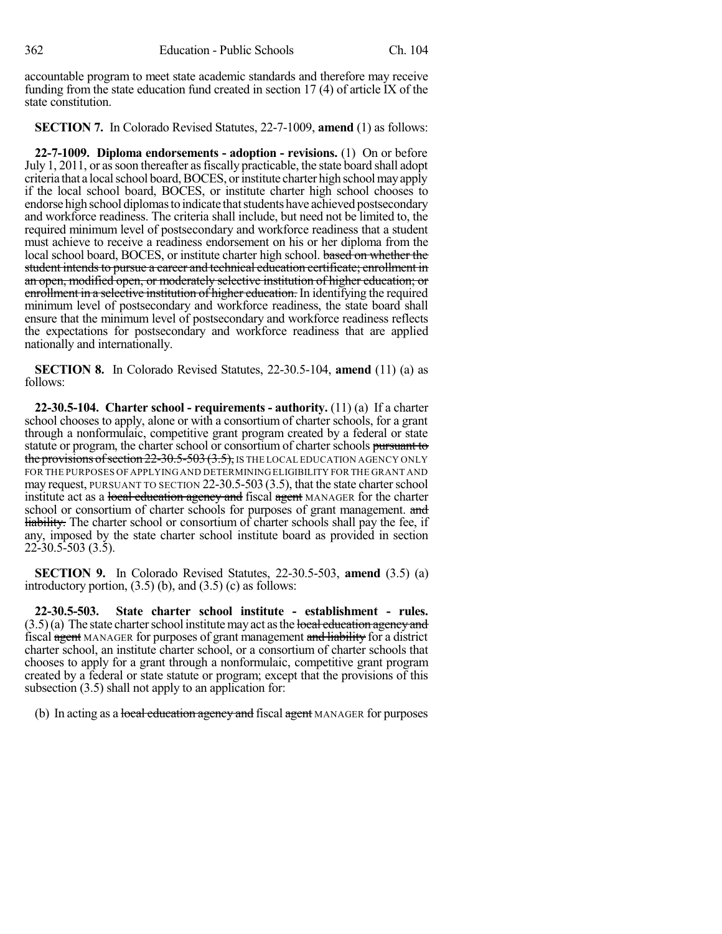accountable program to meet state academic standards and therefore may receive funding from the state education fund created in section 17 (4) of article IX of the state constitution.

**SECTION 7.** In Colorado Revised Statutes, 22-7-1009, **amend** (1) as follows:

**22-7-1009. Diploma endorsements - adoption - revisions.** (1) On or before July 1, 2011, or as soon thereafter as fiscally practicable, the state board shall adopt criteria that a local school board, BOCES, or institute charter high school may apply if the local school board, BOCES, or institute charter high school chooses to endorse high school diplomas to indicate that students have achieved postsecondary and workforce readiness. The criteria shall include, but need not be limited to, the required minimum level of postsecondary and workforce readiness that a student must achieve to receive a readiness endorsement on his or her diploma from the local school board, BOCES, or institute charter high school. based on whether the student intends to pursue a career and technical education certificate; enrollment in an open, modified open, or moderately selective institution of higher education; or enrollment in a selective institution of higher education. In identifying the required minimum level of postsecondary and workforce readiness, the state board shall ensure that the minimum level of postsecondary and workforce readiness reflects the expectations for postsecondary and workforce readiness that are applied nationally and internationally.

**SECTION 8.** In Colorado Revised Statutes, 22-30.5-104, **amend** (11) (a) as follows:

**22-30.5-104. Charter school - requirements - authority.** (11) (a) If a charter school chooses to apply, alone or with a consortium of charter schools, for a grant through a nonformulaic, competitive grant program created by a federal or state statute or program, the charter school or consortium of charter schools pursuant to the provisions of section  $22-30.5-503$   $(3.5)$ , IS THE LOCAL EDUCATION AGENCY ONLY FOR THE PURPOSES OF APPLYING AND DETERMINING ELIGIBILITY FOR THE GRANT AND may request, PURSUANT TO SECTION 22-30.5-503 (3.5), that the state charter school institute act as a local education agency and fiscal agent MANAGER for the charter school or consortium of charter schools for purposes of grant management. and liability. The charter school or consortium of charter schools shall pay the fee, if any, imposed by the state charter school institute board as provided in section 22-30.5-503 (3.5).

**SECTION 9.** In Colorado Revised Statutes, 22-30.5-503, **amend** (3.5) (a) introductory portion,  $(3.5)$  (b), and  $(3.5)$  (c) as follows:

**22-30.5-503. State charter school institute - establishment - rules.**  $(3.5)(a)$  The state charter school institute may act as the local education agency and fiscal agent MANAGER for purposes of grant management and liability for a district charter school, an institute charter school, or a consortium of charter schools that chooses to apply for a grant through a nonformulaic, competitive grant program created by a federal or state statute or program; except that the provisions of this subsection  $(3.5)$  shall not apply to an application for:

(b) In acting as a local education agency and fiscal agent MANAGER for purposes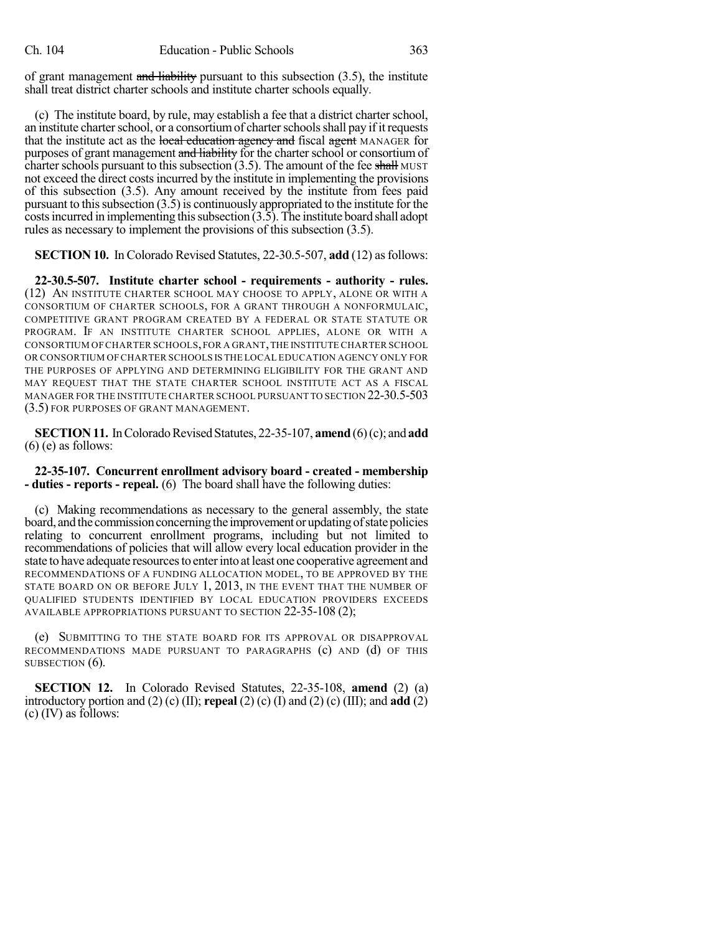of grant management and liability pursuant to this subsection  $(3.5)$ , the institute shall treat district charter schools and institute charter schools equally.

(c) The institute board, by rule, may establish a fee that a district charter school, an institute charter school, or a consortium of charter schools shall pay if it requests that the institute act as the local education agency and fiscal agent MANAGER for purposes of grant management and liability for the charter school or consortium of charter schools pursuant to this subsection  $(3.5)$ . The amount of the fee shall MUST not exceed the direct costs incurred by the institute in implementing the provisions of this subsection (3.5). Any amount received by the institute from fees paid pursuant to this subsection  $(3.5)$  is continuously appropriated to the institute for the  $\frac{1}{\csc}$  costs incurred in implementing this subsection  $(3.\overline{5})$ . The institute board shall adopt rules as necessary to implement the provisions of this subsection (3.5).

**SECTION 10.** In Colorado Revised Statutes, 22-30.5-507, **add** (12) asfollows:

**22-30.5-507. Institute charter school - requirements - authority - rules.** (12) AN INSTITUTE CHARTER SCHOOL MAY CHOOSE TO APPLY, ALONE OR WITH A CONSORTIUM OF CHARTER SCHOOLS, FOR A GRANT THROUGH A NONFORMULAIC, COMPETITIVE GRANT PROGRAM CREATED BY A FEDERAL OR STATE STATUTE OR PROGRAM. IF AN INSTITUTE CHARTER SCHOOL APPLIES, ALONE OR WITH A CONSORTIUM OF CHARTER SCHOOLS,FOR A GRANT,THE INSTITUTE CHARTER SCHOOL OR CONSORTIUM OF CHARTER SCHOOLS IS THE LOCAL EDUCATION AGENCY ONLY FOR THE PURPOSES OF APPLYING AND DETERMINING ELIGIBILITY FOR THE GRANT AND MAY REQUEST THAT THE STATE CHARTER SCHOOL INSTITUTE ACT AS A FISCAL MANAGER FOR THE INSTITUTE CHARTER SCHOOL PURSUANT TO SECTION 22-30.5-503 (3.5) FOR PURPOSES OF GRANT MANAGEMENT.

**SECTION 11.** In Colorado Revised Statutes, 22-35-107, **amend** (6)(c); and **add** (6) (e) as follows:

**22-35-107. Concurrent enrollment advisory board - created - membership - duties - reports - repeal.** (6) The board shall have the following duties:

(c) Making recommendations as necessary to the general assembly, the state board, and the commission concerning the improvement or updating of state policies relating to concurrent enrollment programs, including but not limited to recommendations of policies that will allow every local education provider in the state to have adequate resourcesto enterinto at least one cooperative agreement and RECOMMENDATIONS OF A FUNDING ALLOCATION MODEL, TO BE APPROVED BY THE STATE BOARD ON OR BEFORE JULY 1, 2013, IN THE EVENT THAT THE NUMBER OF QUALIFIED STUDENTS IDENTIFIED BY LOCAL EDUCATION PROVIDERS EXCEEDS AVAILABLE APPROPRIATIONS PURSUANT TO SECTION 22-35-108 (2);

(e) SUBMITTING TO THE STATE BOARD FOR ITS APPROVAL OR DISAPPROVAL RECOMMENDATIONS MADE PURSUANT TO PARAGRAPHS (c) AND (d) OF THIS SUBSECTION  $(6)$ .

**SECTION 12.** In Colorado Revised Statutes, 22-35-108, **amend** (2) (a) introductory portion and (2) (c) (II); **repeal** (2) (c) (I) and (2) (c) (III); and **add** (2) (c) (IV) as follows: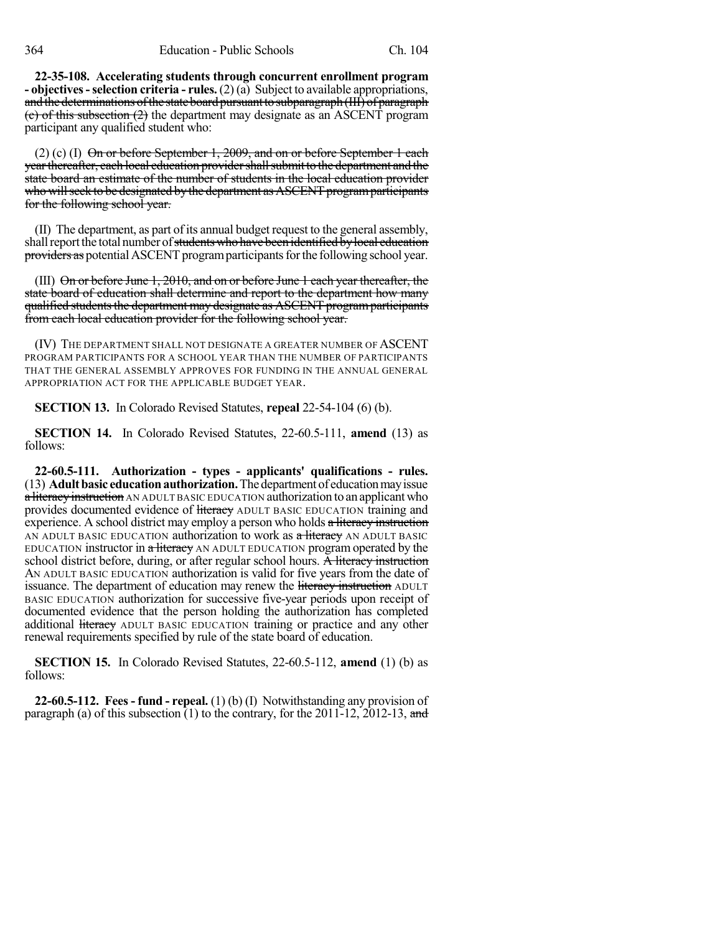**22-35-108. Accelerating students through concurrent enrollment program - objectives-selection criteria - rules.** (2) (a) Subject to available appropriations, and the determinations of the state board pursuant to subparagraph (III) of paragraph (c) of this subsection (2) the department may designate as an ASCENT program participant any qualified student who:

 $(2)$  (c) (I) On or before September 1, 2009, and on or before September 1 each year thereafter, each local education provider shall submit to the department and the state board an estimate of the number of students in the local education provider who will seek to be designated by the department as ASCENT program participants for the following school year.

(II) The department, as part of its annual budget request to the general assembly, shall report the total number of <del>students who have been identified by local education</del> providers as potential ASCENT program participants for the following school year.

(III)  $\Theta$ n or before June 1, 2010, and on or before June 1 each year thereafter, the state board of education shall determine and report to the department how many qualified students the department may designate as ASCENT program participants from each local education provider for the following school year.

(IV) THE DEPARTMENT SHALL NOT DESIGNATE A GREATER NUMBER OF ASCENT PROGRAM PARTICIPANTS FOR A SCHOOL YEAR THAN THE NUMBER OF PARTICIPANTS THAT THE GENERAL ASSEMBLY APPROVES FOR FUNDING IN THE ANNUAL GENERAL APPROPRIATION ACT FOR THE APPLICABLE BUDGET YEAR.

**SECTION 13.** In Colorado Revised Statutes, **repeal** 22-54-104 (6) (b).

**SECTION 14.** In Colorado Revised Statutes, 22-60.5-111, **amend** (13) as follows:

**22-60.5-111. Authorization - types - applicants' qualifications - rules.** (13) **Adultbasic educationauthorization.**Thedepartment of educationmayissue a literacy instruction AN ADULT BASIC EDUCATION authorization to an applicant who provides documented evidence of literacy ADULT BASIC EDUCATION training and experience. A school district may employ a person who holds a literacy instruction AN ADULT BASIC EDUCATION authorization to work as a literacy AN ADULT BASIC EDUCATION instructor in a literacy AN ADULT EDUCATION program operated by the school district before, during, or after regular school hours. A literacy instruction AN ADULT BASIC EDUCATION authorization is valid for five years from the date of issuance. The department of education may renew the literacy instruction ADULT BASIC EDUCATION authorization for successive five-year periods upon receipt of documented evidence that the person holding the authorization has completed additional <del>literacy</del> ADULT BASIC EDUCATION training or practice and any other renewal requirements specified by rule of the state board of education.

**SECTION 15.** In Colorado Revised Statutes, 22-60.5-112, **amend** (1) (b) as follows:

**22-60.5-112. Fees - fund - repeal.** (1) (b) (I) Notwithstanding any provision of paragraph (a) of this subsection  $(1)$  to the contrary, for the 2011-12, 2012-13, and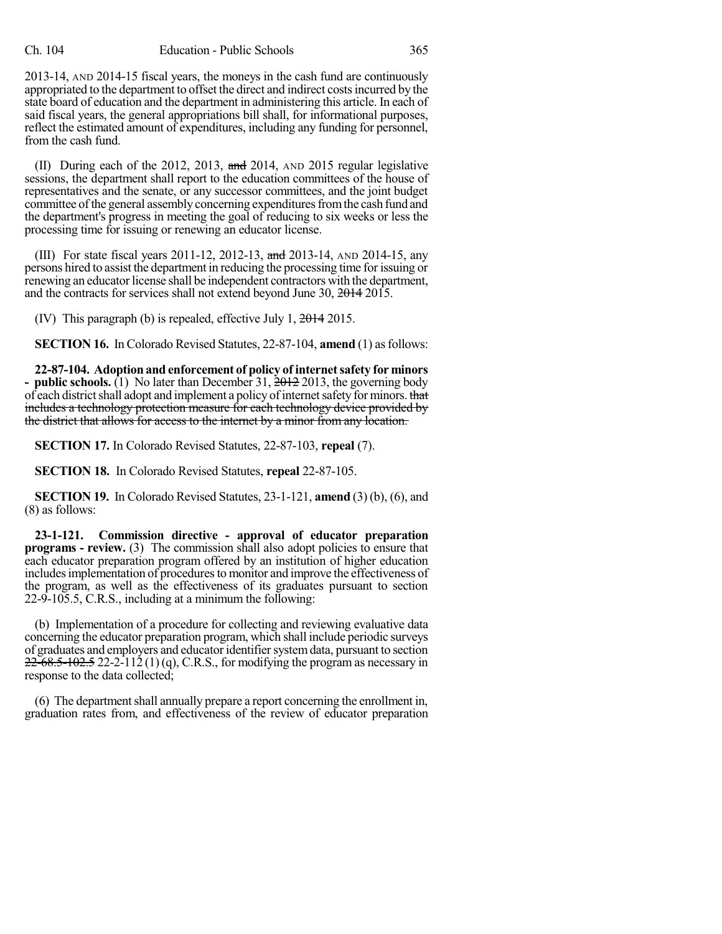2013-14, AND 2014-15 fiscal years, the moneys in the cash fund are continuously appropriated to the department to offset the direct and indirect costsincurred by the state board of education and the department in administering this article. In each of said fiscal years, the general appropriations bill shall, for informational purposes, reflect the estimated amount of expenditures, including any funding for personnel, from the cash fund.

(II) During each of the 2012, 2013,  $\frac{1}{2}$  and 2014, AND 2015 regular legislative sessions, the department shall report to the education committees of the house of representatives and the senate, or any successor committees, and the joint budget committee of the general assembly concerning expenditures from the cash fund and the department's progress in meeting the goal of reducing to six weeks or less the processing time for issuing or renewing an educator license.

(III) For state fiscal years 2011-12, 2012-13, and 2013-14, AND 2014-15, any persons hired to assist the department in reducing the processing time for issuing or renewing an educator license shall be independent contractors with the department, and the contracts for services shall not extend beyond June 30, 2014 2015.

(IV) This paragraph (b) is repealed, effective July 1, 2014 2015.

**SECTION 16.** In Colorado Revised Statutes, 22-87-104, **amend** (1) as follows:

**22-87-104. Adoptionand enforcement of policy of internetsafety for minors - public schools.** (1) No later than December 31, 2012 2013, the governing body of each district shall adopt and implement a policy of internet safety for minors. that includes a technology protection measure for each technology device provided by the district that allows for access to the internet by a minor from any location.

**SECTION 17.** In Colorado Revised Statutes, 22-87-103, **repeal** (7).

**SECTION 18.** In Colorado Revised Statutes, **repeal** 22-87-105.

**SECTION 19.** In Colorado Revised Statutes, 23-1-121, **amend** (3) (b), (6), and (8) as follows:

**23-1-121. Commission directive - approval of educator preparation programs - review.** (3) The commission shall also adopt policies to ensure that each educator preparation program offered by an institution of higher education includes implementation of procedures to monitor and improve the effectiveness of the program, as well as the effectiveness of its graduates pursuant to section 22-9-105.5, C.R.S., including at a minimum the following:

(b) Implementation of a procedure for collecting and reviewing evaluative data concerning the educator preparation program, which shall include periodic surveys of graduates and employers and educatoridentifiersystemdata, pursuant to section  $22-68.5-102.5$  22-2-112 (1)(q), C.R.S., for modifying the program as necessary in response to the data collected;

(6) The department shall annually prepare a report concerning the enrollment in, graduation rates from, and effectiveness of the review of educator preparation